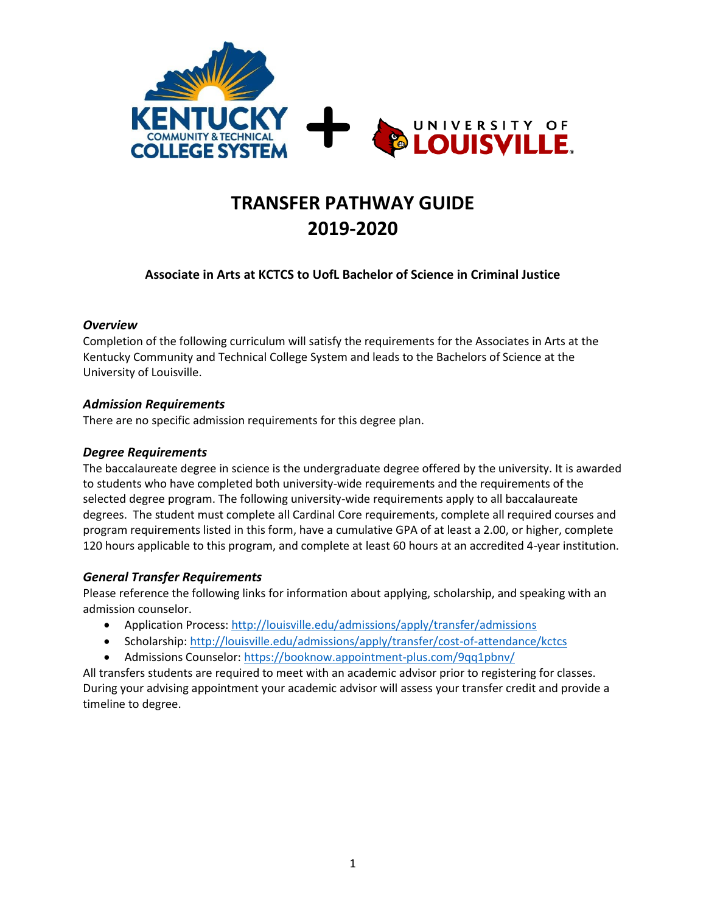

# **TRANSFER PATHWAY GUIDE 2019-2020**

## **Associate in Arts at KCTCS to UofL Bachelor of Science in Criminal Justice**

#### *Overview*

Completion of the following curriculum will satisfy the requirements for the Associates in Arts at the Kentucky Community and Technical College System and leads to the Bachelors of Science at the University of Louisville.

## *Admission Requirements*

There are no specific admission requirements for this degree plan.

### *Degree Requirements*

The baccalaureate degree in science is the undergraduate degree offered by the university. It is awarded to students who have completed both university-wide requirements and the requirements of the selected degree program. The following university-wide requirements apply to all baccalaureate degrees. The student must complete all Cardinal Core requirements, complete all required courses and program requirements listed in this form, have a cumulative GPA of at least a 2.00, or higher, complete 120 hours applicable to this program, and complete at least 60 hours at an accredited 4-year institution.

## *General Transfer Requirements*

Please reference the following links for information about applying, scholarship, and speaking with an admission counselor.

- Application Process[: http://louisville.edu/admissions/apply/transfer/admissions](http://louisville.edu/admissions/apply/transfer/admissions)
- Scholarship[: http://louisville.edu/admissions/apply/transfer/cost-of-attendance/kctcs](http://louisville.edu/admissions/apply/transfer/cost-of-attendance/kctcs)
- Admissions Counselor[: https://booknow.appointment-plus.com/9qq1pbnv/](https://booknow.appointment-plus.com/9qq1pbnv/)

All transfers students are required to meet with an academic advisor prior to registering for classes. During your advising appointment your academic advisor will assess your transfer credit and provide a timeline to degree.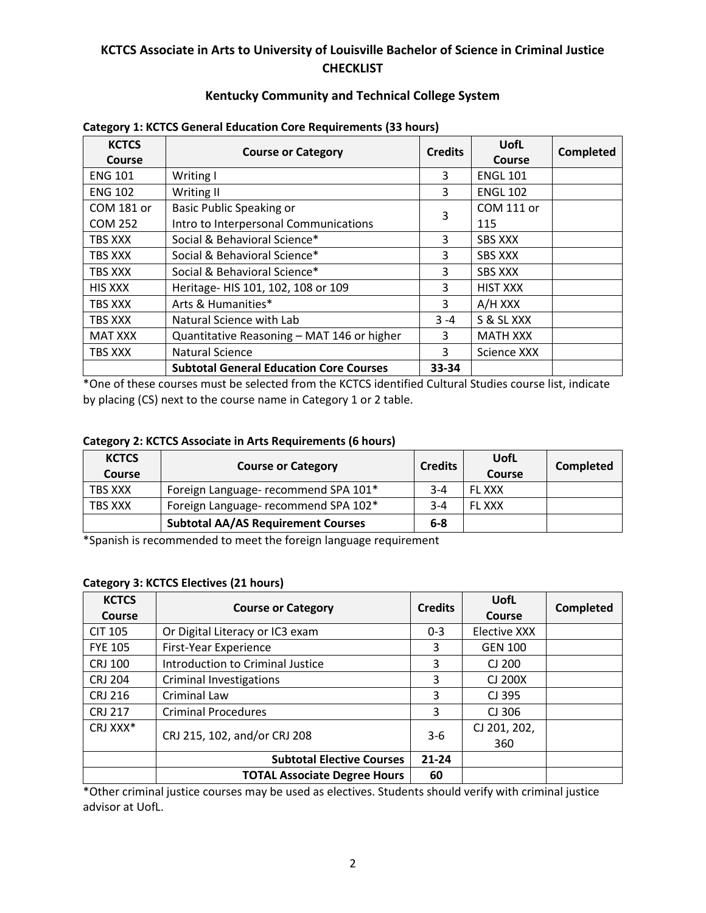# **KCTCS Associate in Arts to University of Louisville Bachelor of Science in Criminal Justice CHECKLIST**

## **Kentucky Community and Technical College System**

| <b>KCTCS</b>      | <b>Course or Category</b>                      | <b>Credits</b> | UofL              | <b>Completed</b> |
|-------------------|------------------------------------------------|----------------|-------------------|------------------|
| Course            |                                                |                | Course            |                  |
| <b>ENG 101</b>    | Writing I                                      | 3              | <b>ENGL 101</b>   |                  |
| <b>ENG 102</b>    | Writing II                                     | 3              | <b>ENGL 102</b>   |                  |
| <b>COM 181 or</b> | <b>Basic Public Speaking or</b>                |                | <b>COM 111 or</b> |                  |
| <b>COM 252</b>    | Intro to Interpersonal Communications          | 3              | 115               |                  |
| TBS XXX           | Social & Behavioral Science*                   | 3              | <b>SBS XXX</b>    |                  |
| TBS XXX           | Social & Behavioral Science*                   | 3              | <b>SBS XXX</b>    |                  |
| TBS XXX           | Social & Behavioral Science*                   | 3              | <b>SBS XXX</b>    |                  |
| <b>HIS XXX</b>    | Heritage- HIS 101, 102, 108 or 109             | 3              | <b>HIST XXX</b>   |                  |
| TBS XXX           | Arts & Humanities*                             | 3              | A/H XXX           |                  |
| TBS XXX           | Natural Science with Lab                       | $3 - 4$        | S & SL XXX        |                  |
| <b>MAT XXX</b>    | Quantitative Reasoning - MAT 146 or higher     | 3              | <b>MATH XXX</b>   |                  |
| TBS XXX           | <b>Natural Science</b>                         | 3              | Science XXX       |                  |
|                   | <b>Subtotal General Education Core Courses</b> | 33-34          |                   |                  |

#### **Category 1: KCTCS General Education Core Requirements (33 hours)**

\*One of these courses must be selected from the KCTCS identified Cultural Studies course list, indicate by placing (CS) next to the course name in Category 1 or 2 table.

#### **Category 2: KCTCS Associate in Arts Requirements (6 hours)**

| <b>KCTCS</b><br><b>Course</b> | <b>Course or Category</b>                 | <b>Credits</b> | UofL<br><b>Course</b> | Completed |
|-------------------------------|-------------------------------------------|----------------|-----------------------|-----------|
| TBS XXX                       | Foreign Language- recommend SPA 101*      | $3 - 4$        | <b>FL XXX</b>         |           |
| TBS XXX                       | Foreign Language- recommend SPA 102*      | $3 - 4$        | <b>FL XXX</b>         |           |
|                               | <b>Subtotal AA/AS Requirement Courses</b> | 6-8            |                       |           |

\*Spanish is recommended to meet the foreign language requirement

#### **Category 3: KCTCS Electives (21 hours)**

| <b>KCTCS</b><br>Course | <b>Course or Category</b>           | <b>Credits</b> | UofL<br>Course | <b>Completed</b> |
|------------------------|-------------------------------------|----------------|----------------|------------------|
| <b>CIT 105</b>         | Or Digital Literacy or IC3 exam     | $0 - 3$        | Elective XXX   |                  |
| <b>FYE 105</b>         | First-Year Experience               | 3              | <b>GEN 100</b> |                  |
| <b>CRJ 100</b>         | Introduction to Criminal Justice    | 3              | CJ 200         |                  |
| <b>CRJ 204</b>         | <b>Criminal Investigations</b>      | 3              | CJ 200X        |                  |
| <b>CRJ 216</b>         | <b>Criminal Law</b>                 | 3              | CJ 395         |                  |
| <b>CRJ 217</b>         | <b>Criminal Procedures</b>          | 3              | CJ 306         |                  |
| CRJ XXX*               | CRJ 215, 102, and/or CRJ 208        | $3-6$          | CJ 201, 202,   |                  |
|                        |                                     |                | 360            |                  |
|                        | <b>Subtotal Elective Courses</b>    | $21 - 24$      |                |                  |
|                        | <b>TOTAL Associate Degree Hours</b> | 60             |                |                  |

\*Other criminal justice courses may be used as electives. Students should verify with criminal justice advisor at UofL.